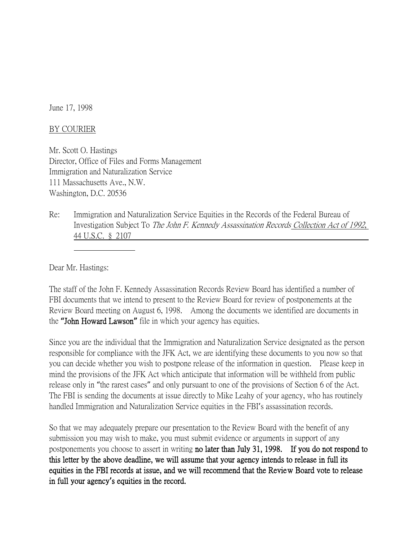June 17, 1998

## BY COURIER

Mr. Scott O. Hastings Director, Office of Files and Forms Management Immigration and Naturalization Service 111 Massachusetts Ave., N.W. Washington, D.C. 20536

Re: Immigration and Naturalization Service Equities in the Records of the Federal Bureau of Investigation Subject To The John F. Kennedy Assassination Records Collection Act of 1992, 44 U.S.C. § 2107

Dear Mr. Hastings:

The staff of the John F. Kennedy Assassination Records Review Board has identified a number of FBI documents that we intend to present to the Review Board for review of postponements at the Review Board meeting on August 6, 1998. Among the documents we identified are documents in the **"**John Howard Lawson**"** file in which your agency has equities.

Since you are the individual that the Immigration and Naturalization Service designated as the person responsible for compliance with the JFK Act, we are identifying these documents to you now so that you can decide whether you wish to postpone release of the information in question. Please keep in mind the provisions of the JFK Act which anticipate that information will be withheld from public release only in "the rarest cases" and only pursuant to one of the provisions of Section 6 of the Act. The FBI is sending the documents at issue directly to Mike Leahy of your agency, who has routinely handled Immigration and Naturalization Service equities in the FBI's assassination records.

So that we may adequately prepare our presentation to the Review Board with the benefit of any submission you may wish to make, you must submit evidence or arguments in support of any postponements you choose to assert in writing no later than July 31, 1998. If you do not respond to this letter by the above deadline, we will assume that your agency intends to release in full its equities in the FBI records at issue, and we will recommend that the Review Board vote to release in full your agency**'**s equities in the record.